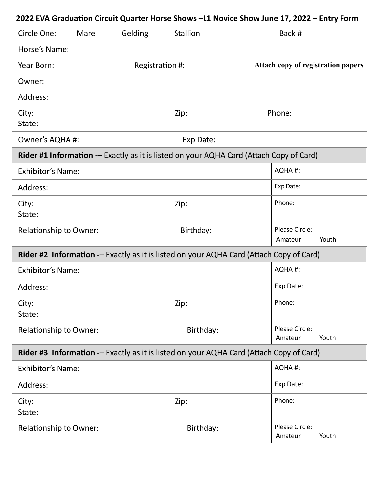| Circle One:                                                                             | Mare | Gelding                                                                                 | <b>Stallion</b> |  | Back #                             |       |
|-----------------------------------------------------------------------------------------|------|-----------------------------------------------------------------------------------------|-----------------|--|------------------------------------|-------|
| Horse's Name:                                                                           |      |                                                                                         |                 |  |                                    |       |
| Year Born:                                                                              |      |                                                                                         | Registration #: |  | Attach copy of registration papers |       |
| Owner:                                                                                  |      |                                                                                         |                 |  |                                    |       |
| Address:                                                                                |      |                                                                                         |                 |  |                                    |       |
| City:<br>State:                                                                         |      |                                                                                         | Zip:            |  | Phone:                             |       |
| Owner's AQHA #:                                                                         |      | Exp Date:                                                                               |                 |  |                                    |       |
| Rider #1 Information -- Exactly as it is listed on your AQHA Card (Attach Copy of Card) |      |                                                                                         |                 |  |                                    |       |
| <b>Exhibitor's Name:</b>                                                                |      |                                                                                         |                 |  | AQHA#:                             |       |
| Address:                                                                                |      |                                                                                         |                 |  |                                    |       |
| City:<br>State:                                                                         |      |                                                                                         | Zip:            |  | Phone:                             |       |
| <b>Relationship to Owner:</b>                                                           |      |                                                                                         | Birthday:       |  | Please Circle:<br>Amateur          | Youth |
|                                                                                         |      | Rider #2 Information -- Exactly as it is listed on your AQHA Card (Attach Copy of Card) |                 |  |                                    |       |
| <b>Exhibitor's Name:</b>                                                                |      |                                                                                         |                 |  | AQHA#:                             |       |
| Address:                                                                                |      |                                                                                         |                 |  |                                    |       |
| City:<br>State:                                                                         |      |                                                                                         | Zip:            |  | Phone:                             |       |
| Relationship to Owner:                                                                  |      |                                                                                         | Birthday:       |  | Please Circle:<br>Amateur          | Youth |
| Rider #3 Information -- Exactly as it is listed on your AQHA Card (Attach Copy of Card) |      |                                                                                         |                 |  |                                    |       |
| <b>Exhibitor's Name:</b>                                                                |      |                                                                                         |                 |  | AQHA#:                             |       |
| Address:                                                                                |      |                                                                                         |                 |  | Exp Date:                          |       |
| City:<br>State:                                                                         |      |                                                                                         | Zip:            |  | Phone:                             |       |
| Relationship to Owner:                                                                  |      |                                                                                         | Birthday:       |  | Please Circle:<br>Amateur          | Youth |

## **2022 EVA Graduation Circuit Quarter Horse Shows –L1 Novice Show June 17, 2022 – Entry Form**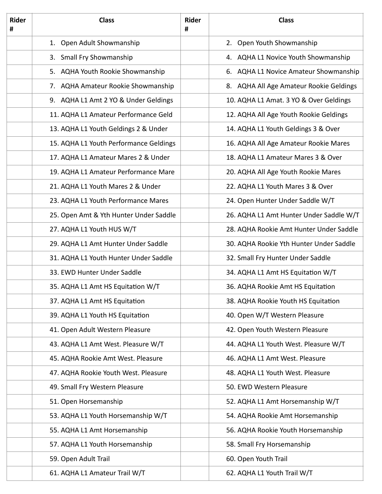| <b>Rider</b><br># | <b>Class</b>                           |  | <b>Class</b>                            |  |
|-------------------|----------------------------------------|--|-----------------------------------------|--|
|                   | 1. Open Adult Showmanship              |  | 2. Open Youth Showmanship               |  |
|                   | 3. Small Fry Showmanship               |  | 4. AQHA L1 Novice Youth Showmanship     |  |
|                   | 5. AQHA Youth Rookie Showmanship       |  | 6. AQHA L1 Novice Amateur Showmanship   |  |
|                   | 7. AQHA Amateur Rookie Showmanship     |  | 8. AQHA All Age Amateur Rookie Geldings |  |
|                   | 9. AQHA L1 Amt 2 YO & Under Geldings   |  | 10. AQHA L1 Amat. 3 YO & Over Geldings  |  |
|                   | 11. AQHA L1 Amateur Performance Geld   |  | 12. AQHA All Age Youth Rookie Geldings  |  |
|                   | 13. AQHA L1 Youth Geldings 2 & Under   |  | 14. AQHA L1 Youth Geldings 3 & Over     |  |
|                   | 15. AQHA L1 Youth Performance Geldings |  | 16. AQHA All Age Amateur Rookie Mares   |  |
|                   | 17. AQHA L1 Amateur Mares 2 & Under    |  | 18. AQHA L1 Amateur Mares 3 & Over      |  |
|                   | 19. AQHA L1 Amateur Performance Mare   |  | 20. AQHA All Age Youth Rookie Mares     |  |
|                   | 21. AQHA L1 Youth Mares 2 & Under      |  | 22. AQHA L1 Youth Mares 3 & Over        |  |
|                   | 23. AQHA L1 Youth Performance Mares    |  | 24. Open Hunter Under Saddle W/T        |  |
|                   | 25. Open Amt & Yth Hunter Under Saddle |  | 26. AQHA L1 Amt Hunter Under Saddle W/T |  |
|                   | 27. AQHA L1 Youth HUS W/T              |  | 28. AQHA Rookie Amt Hunter Under Saddle |  |
|                   | 29. AQHA L1 Amt Hunter Under Saddle    |  | 30. AQHA Rookie Yth Hunter Under Saddle |  |
|                   | 31. AQHA L1 Youth Hunter Under Saddle  |  | 32. Small Fry Hunter Under Saddle       |  |
|                   | 33. EWD Hunter Under Saddle            |  | 34. AQHA L1 Amt HS Equitation W/T       |  |
|                   | 35. AQHA L1 Amt HS Equitation W/T      |  | 36. AQHA Rookie Amt HS Equitation       |  |
|                   | 37. AQHA L1 Amt HS Equitation          |  | 38. AQHA Rookie Youth HS Equitation     |  |
|                   | 39. AQHA L1 Youth HS Equitation        |  | 40. Open W/T Western Pleasure           |  |
|                   | 41. Open Adult Western Pleasure        |  | 42. Open Youth Western Pleasure         |  |
|                   | 43. AQHA L1 Amt West. Pleasure W/T     |  | 44. AQHA L1 Youth West. Pleasure W/T    |  |
|                   | 45. AQHA Rookie Amt West. Pleasure     |  | 46. AQHA L1 Amt West. Pleasure          |  |
|                   | 47. AQHA Rookie Youth West. Pleasure   |  | 48. AQHA L1 Youth West. Pleasure        |  |
|                   | 49. Small Fry Western Pleasure         |  | 50. EWD Western Pleasure                |  |
|                   | 51. Open Horsemanship                  |  | 52. AQHA L1 Amt Horsemanship W/T        |  |
|                   | 53. AQHA L1 Youth Horsemanship W/T     |  | 54. AQHA Rookie Amt Horsemanship        |  |
|                   | 55. AQHA L1 Amt Horsemanship           |  | 56. AQHA Rookie Youth Horsemanship      |  |
|                   | 57. AQHA L1 Youth Horsemanship         |  | 58. Small Fry Horsemanship              |  |
|                   | 59. Open Adult Trail                   |  | 60. Open Youth Trail                    |  |
|                   | 61. AQHA L1 Amateur Trail W/T          |  | 62. AQHA L1 Youth Trail W/T             |  |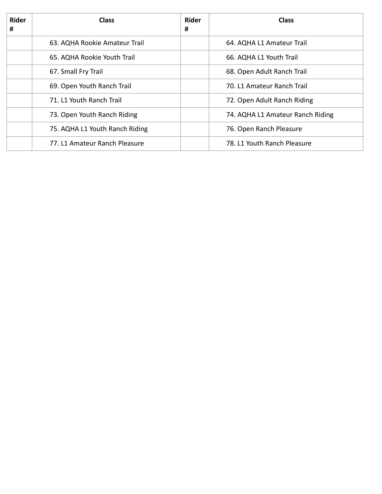| <b>Rider</b><br># | <b>Class</b>                   | <b>Rider</b><br># | <b>Class</b>                     |
|-------------------|--------------------------------|-------------------|----------------------------------|
|                   | 63. AQHA Rookie Amateur Trail  |                   | 64. AQHA L1 Amateur Trail        |
|                   | 65. AQHA Rookie Youth Trail    |                   | 66. AQHA L1 Youth Trail          |
|                   | 67. Small Fry Trail            |                   | 68. Open Adult Ranch Trail       |
|                   | 69. Open Youth Ranch Trail     |                   | 70. L1 Amateur Ranch Trail       |
|                   | 71. L1 Youth Ranch Trail       |                   | 72. Open Adult Ranch Riding      |
|                   | 73. Open Youth Ranch Riding    |                   | 74. AQHA L1 Amateur Ranch Riding |
|                   | 75. AQHA L1 Youth Ranch Riding |                   | 76. Open Ranch Pleasure          |
|                   | 77. L1 Amateur Ranch Pleasure  |                   | 78. L1 Youth Ranch Pleasure      |